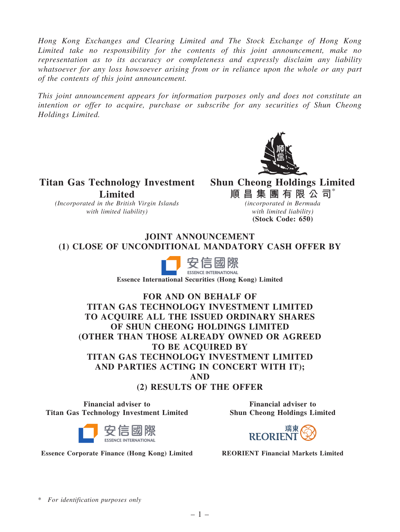*Hong Kong Exchanges and Clearing Limited and The Stock Exchange of Hong Kong Limited take no responsibility for the contents of this joint announcement, make no representation as to its accuracy or completeness and expressly disclaim any liability whatsoever for any loss howsoever arising from or in reliance upon the whole or any part of the contents of this joint announcement.*

*This joint announcement appears for information purposes only and does not constitute an intention or offer to acquire, purchase or subscribe for any securities of Shun Cheong Holdings Limited.*



Titan Gas Technology Investment Shun Cheong Holdings Limited Limited

*(Incorporated in the British Virgin Islands with limited liability)*

順昌集團有限公司\*

*(incorporated in Bermuda with limited liability)* (Stock Code: 650)

# JOINT ANNOUNCEMENT (1) CLOSE OF UNCONDITIONAL MANDATORY CASH OFFER BY



Essence International Securities (Hong Kong) Limited

FOR AND ON BEHALF OF TITAN GAS TECHNOLOGY INVESTMENT LIMITED TO ACQUIRE ALL THE ISSUED ORDINARY SHARES OF SHUN CHEONG HOLDINGS LIMITED (OTHER THAN THOSE ALREADY OWNED OR AGREED TO BE ACOUIRED BY TITAN GAS TECHNOLOGY INVESTMENT LIMITED AND PARTIES ACTING IN CONCERT WITH IT); AND (2) RESULTS OF THE OFFER

Financial adviser to Titan Gas Technology Investment Limited





**REORIEN** 

Essence Corporate Finance (Hong Kong) Limited REORIENT Financial Markets Limited

\* *For identification purposes only*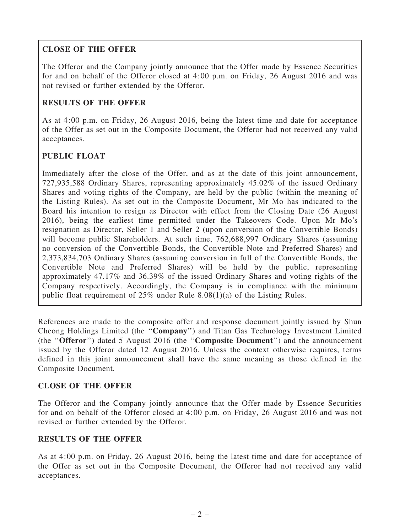# CLOSE OF THE OFFER

The Offeror and the Company jointly announce that the Offer made by Essence Securities for and on behalf of the Offeror closed at 4:00 p.m. on Friday, 26 August 2016 and was not revised or further extended by the Offeror.

# RESULTS OF THE OFFER

As at 4:00 p.m. on Friday, 26 August 2016, being the latest time and date for acceptance of the Offer as set out in the Composite Document, the Offeror had not received any valid acceptances.

# PUBLIC FLOAT

Immediately after the close of the Offer, and as at the date of this joint announcement, 727,935,588 Ordinary Shares, representing approximately 45.02% of the issued Ordinary Shares and voting rights of the Company, are held by the public (within the meaning of the Listing Rules). As set out in the Composite Document, Mr Mo has indicated to the Board his intention to resign as Director with effect from the Closing Date (26 August 2016), being the earliest time permitted under the Takeovers Code. Upon Mr Mo's resignation as Director, Seller 1 and Seller 2 (upon conversion of the Convertible Bonds) will become public Shareholders. At such time, 762,688,997 Ordinary Shares (assuming no conversion of the Convertible Bonds, the Convertible Note and Preferred Shares) and 2,373,834,703 Ordinary Shares (assuming conversion in full of the Convertible Bonds, the Convertible Note and Preferred Shares) will be held by the public, representing approximately 47.17% and 36.39% of the issued Ordinary Shares and voting rights of the Company respectively. Accordingly, the Company is in compliance with the minimum public float requirement of 25% under Rule 8.08(1)(a) of the Listing Rules.

References are made to the composite offer and response document jointly issued by Shun Cheong Holdings Limited (the ''Company'') and Titan Gas Technology Investment Limited (the ''Offeror'') dated 5 August 2016 (the ''Composite Document'') and the announcement issued by the Offeror dated 12 August 2016. Unless the context otherwise requires, terms defined in this joint announcement shall have the same meaning as those defined in the Composite Document.

### CLOSE OF THE OFFER

The Offeror and the Company jointly announce that the Offer made by Essence Securities for and on behalf of the Offeror closed at 4:00 p.m. on Friday, 26 August 2016 and was not revised or further extended by the Offeror.

### RESULTS OF THE OFFER

As at 4:00 p.m. on Friday, 26 August 2016, being the latest time and date for acceptance of the Offer as set out in the Composite Document, the Offeror had not received any valid acceptances.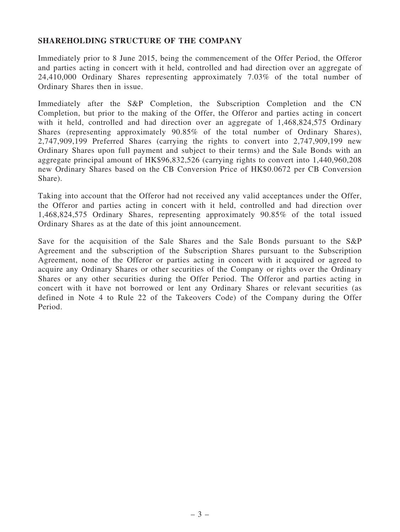#### SHAREHOLDING STRUCTURE OF THE COMPANY

Immediately prior to 8 June 2015, being the commencement of the Offer Period, the Offeror and parties acting in concert with it held, controlled and had direction over an aggregate of 24,410,000 Ordinary Shares representing approximately 7.03% of the total number of Ordinary Shares then in issue.

Immediately after the S&P Completion, the Subscription Completion and the CN Completion, but prior to the making of the Offer, the Offeror and parties acting in concert with it held, controlled and had direction over an aggregate of 1,468,824,575 Ordinary Shares (representing approximately 90.85% of the total number of Ordinary Shares), 2,747,909,199 Preferred Shares (carrying the rights to convert into 2,747,909,199 new Ordinary Shares upon full payment and subject to their terms) and the Sale Bonds with an aggregate principal amount of HK\$96,832,526 (carrying rights to convert into 1,440,960,208 new Ordinary Shares based on the CB Conversion Price of HK\$0.0672 per CB Conversion Share).

Taking into account that the Offeror had not received any valid acceptances under the Offer, the Offeror and parties acting in concert with it held, controlled and had direction over 1,468,824,575 Ordinary Shares, representing approximately 90.85% of the total issued Ordinary Shares as at the date of this joint announcement.

Save for the acquisition of the Sale Shares and the Sale Bonds pursuant to the S&P Agreement and the subscription of the Subscription Shares pursuant to the Subscription Agreement, none of the Offeror or parties acting in concert with it acquired or agreed to acquire any Ordinary Shares or other securities of the Company or rights over the Ordinary Shares or any other securities during the Offer Period. The Offeror and parties acting in concert with it have not borrowed or lent any Ordinary Shares or relevant securities (as defined in Note 4 to Rule 22 of the Takeovers Code) of the Company during the Offer Period.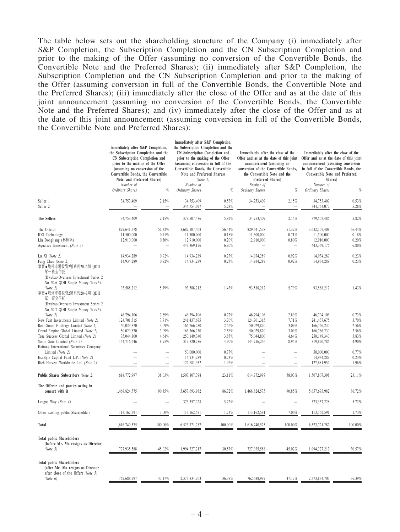The table below sets out the shareholding structure of the Company (i) immediately after S&P Completion, the Subscription Completion and the CN Subscription Completion and prior to the making of the Offer (assuming no conversion of the Convertible Bonds, the Convertible Note and the Preferred Shares); (ii) immediately after S&P Completion, the Subscription Completion and the CN Subscription Completion and prior to the making of the Offer (assuming conversion in full of the Convertible Bonds, the Convertible Note and the Preferred Shares); (iii) immediately after the close of the Offer and as at the date of this joint announcement (assuming no conversion of the Convertible Bonds, the Convertible Note and the Preferred Shares); and (iv) immediately after the close of the Offer and as at the date of this joint announcement (assuming conversion in full of the Convertible Bonds, the Convertible Note and Preferred Shares):

|                                                                                                                                                                                                                                                                                        | Immediately after S&P Completion,<br>the Subscription Completion and the<br>CN Subscription Completion and<br>prior to the making of the Offer<br>(assuming no conversion of the<br>Convertible Bonds, the Convertible<br>Note, and Preferred Shares)<br>Number of<br>Ordinary Shares<br>$q_{\!\scriptscriptstyle 0}$ |                                                    | Immediately after S&P Completion,<br>the Subscription Completion and the<br>CN Subscription Completion and<br>prior to the making of the Offer<br>(assuming conversion in full of the<br>Convertible Bonds, the Convertible<br>Note and Preferred Shares)<br>(Note 1)<br>Number of<br>Ordinary Shares<br>$q_{\rm 0}$ |                                                    | Immediately after the close of the<br>Offer and as at the date of this joint<br>announcement (assuming no<br>conversion of the Convertible Bonds,<br>the Convertible Note and the<br>Preferred Shares)<br>Number of<br>Ordinary Shares<br>$q_{\rm 0}$ |                                                    | Immediately after the close of the<br>Offer and as at the date of this joint<br>announcement (assuming conversion<br>in full of the Convertible Bonds, the<br>Convertible Note and Preferred<br>Shares)<br>Number of<br>Ordinary Shares<br>$q_0$ |                                                    |
|----------------------------------------------------------------------------------------------------------------------------------------------------------------------------------------------------------------------------------------------------------------------------------------|-----------------------------------------------------------------------------------------------------------------------------------------------------------------------------------------------------------------------------------------------------------------------------------------------------------------------|----------------------------------------------------|----------------------------------------------------------------------------------------------------------------------------------------------------------------------------------------------------------------------------------------------------------------------------------------------------------------------|----------------------------------------------------|-------------------------------------------------------------------------------------------------------------------------------------------------------------------------------------------------------------------------------------------------------|----------------------------------------------------|--------------------------------------------------------------------------------------------------------------------------------------------------------------------------------------------------------------------------------------------------|----------------------------------------------------|
| Seller 1<br>Seller <sub>2</sub>                                                                                                                                                                                                                                                        | 34,753,409                                                                                                                                                                                                                                                                                                            | 2.15%                                              | 34,753,409<br>344,754,077                                                                                                                                                                                                                                                                                            | 0.53%<br>5.28%                                     | 34,753,409                                                                                                                                                                                                                                            | 2.15%<br>-                                         | 34,753,409<br>344,754,077                                                                                                                                                                                                                        | 0.53%<br>5.28%                                     |
| The Sellers                                                                                                                                                                                                                                                                            | 34,753,409                                                                                                                                                                                                                                                                                                            | 2.15%                                              | 379,507,486                                                                                                                                                                                                                                                                                                          | 5.82%                                              | 34,753,409                                                                                                                                                                                                                                            | 2.15%                                              | 379,507,486                                                                                                                                                                                                                                      | 5.82%                                              |
| The Offeror<br><b>IDG</b> Technology<br>Lin Dongliang (林棟梁)<br>Aquarius Investment (Note 3)                                                                                                                                                                                            | 829,641,578<br>11,500,000<br>12,910,000                                                                                                                                                                                                                                                                               | 51.32%<br>0.71%<br>0.80%                           | 3,682,107,408<br>11,500,000<br>12,910,000<br>443,369,176                                                                                                                                                                                                                                                             | 56.44%<br>0.18%<br>0.20%<br>6.80%                  | 829,641,578<br>11,500,000<br>12,910,000                                                                                                                                                                                                               | 51.32%<br>0.71%<br>0.80%<br>$\frac{1}{2}$          | 3,682,107,408<br>11,500,000<br>12,910,000<br>443,369,176                                                                                                                                                                                         | 56.44%<br>0.18%<br>0.20%<br>6.80%                  |
| Lu Xi (Note 2)<br>Fang Chao (Note 2)<br>華寶●境外市場投資2號系列20-6期 QDII<br>單一資金信托                                                                                                                                                                                                              | 14,934,289<br>14,934,289                                                                                                                                                                                                                                                                                              | 0.92%<br>0.92%                                     | 14,934,289<br>14,934,289                                                                                                                                                                                                                                                                                             | 0.23%<br>0.23%                                     | 14,934,289<br>14,934,289                                                                                                                                                                                                                              | 0.92%<br>0.92%                                     | 14,934,289<br>14,934,289                                                                                                                                                                                                                         | 0.23%<br>0.23%                                     |
| (Hwabao.Overseas Investment Series 2<br>No 20-6 QDII Single Money Trust*)<br>(Note 2)<br>華寶•境外市場投資2號系列20–7期 QDII<br>單一資金信托                                                                                                                                                             | 93,588,212                                                                                                                                                                                                                                                                                                            | 5.79%                                              | 93,588,212                                                                                                                                                                                                                                                                                                           | 1.43%                                              | 93,588,212                                                                                                                                                                                                                                            | 5.79%                                              | 93,588,212                                                                                                                                                                                                                                       | 1.43%                                              |
| (Hwabao.Overseas Investment Series 2)<br>No 20-7 QDII Single Money Trust*)<br>(Note 2)<br>New Fast Investments Limited (Note 2)<br>Real Smart Holdings Limited (Note 2)<br>Grand Empire Global Limited (Note 2)<br>True Success Global Limited (Note 2)<br>Sonic Gain Limited (Note 2) | 46,794,106<br>124,701,315<br>50,029,870<br>50,029,870<br>75,044,800<br>144,716,246                                                                                                                                                                                                                                    | 2.89%<br>7.71%<br>3.09%<br>3.09%<br>4.64%<br>8.95% | 46,794,106<br>241,437,675<br>166,766,230<br>166,766,230<br>250,149,340<br>319,820,786                                                                                                                                                                                                                                | 0.72%<br>3.70%<br>2.56%<br>2.56%<br>3.83%<br>4.90% | 46,794,106<br>124,701,315<br>50,029,870<br>50,029,870<br>75,044,800<br>144,716,246                                                                                                                                                                    | 2.89%<br>7.71%<br>3.09%<br>3.09%<br>4.64%<br>8.95% | 46,794,106<br>241,437,675<br>166,766,230<br>166,766,230<br>250,149,340<br>319,820,786                                                                                                                                                            | 0.72%<br>3.70%<br>2.56%<br>2.56%<br>3.83%<br>4.90% |
| Haitong International Securities Company<br>Limited (Note 2)<br>ExaByte Capital Fund L.P. (Note 2)<br>Rich Harvest Worldwide Ltd. (Note 2)                                                                                                                                             |                                                                                                                                                                                                                                                                                                                       | —                                                  | 50,000,000<br>14,934,289<br>127,681,952                                                                                                                                                                                                                                                                              | 0.77%<br>0.23%<br>1.96%                            |                                                                                                                                                                                                                                                       |                                                    | 50,000,000<br>14,934,289<br>127,681,952                                                                                                                                                                                                          | 0.77%<br>0.23%<br>1.96%                            |
| Public Shares Subscribers (Note 2)                                                                                                                                                                                                                                                     | 614,772,997                                                                                                                                                                                                                                                                                                           | 38.03%                                             | 1,507,807,398                                                                                                                                                                                                                                                                                                        | 23.11%                                             | 614,772,997                                                                                                                                                                                                                                           | 38.03%                                             | 1,507,807,398                                                                                                                                                                                                                                    | 23.11%                                             |
| The Offeror and parties acting in<br>concert with it                                                                                                                                                                                                                                   | 1,468,824,575                                                                                                                                                                                                                                                                                                         | 90.85%                                             | 5,657,693,982                                                                                                                                                                                                                                                                                                        | 86.72%                                             | 1,468,824,575                                                                                                                                                                                                                                         | 90.85%                                             | 5,657,693,982                                                                                                                                                                                                                                    | 86.72%                                             |
| League Way (Note 4)                                                                                                                                                                                                                                                                    |                                                                                                                                                                                                                                                                                                                       |                                                    | 373, 357, 228                                                                                                                                                                                                                                                                                                        | 5.72%                                              |                                                                                                                                                                                                                                                       |                                                    | 373, 357, 228                                                                                                                                                                                                                                    | 5.72%                                              |
| Other existing public Shareholders                                                                                                                                                                                                                                                     | 113,162,591                                                                                                                                                                                                                                                                                                           | 7.00%                                              | 113,162,591                                                                                                                                                                                                                                                                                                          | 1.73%                                              | 113,162,591                                                                                                                                                                                                                                           | 7.00%                                              | 113,162,591                                                                                                                                                                                                                                      | 1.73%                                              |
| <b>Total</b>                                                                                                                                                                                                                                                                           | 1,616,740,575                                                                                                                                                                                                                                                                                                         | 100.00%                                            | 6,523,721,287                                                                                                                                                                                                                                                                                                        | 100.00%                                            | 1,616,740,575                                                                                                                                                                                                                                         | 100.00%                                            | 6,523,721,287                                                                                                                                                                                                                                    | 100.00%                                            |
| <b>Total public Shareholders</b><br>(before Mr. Mo resigns as Director)<br>(Note 5)                                                                                                                                                                                                    | 727,935,588                                                                                                                                                                                                                                                                                                           | 45.02%                                             | 1,994,327,217                                                                                                                                                                                                                                                                                                        | 30.57%                                             | 727,935,588                                                                                                                                                                                                                                           | 45.02%                                             | 1,994,327,217                                                                                                                                                                                                                                    | 30.57%                                             |
| <b>Total public Shareholders</b><br>(after Mr. Mo resigns as Director<br>after close of the Offer) (Note 5)<br>(Note 6)                                                                                                                                                                | 762,688,997                                                                                                                                                                                                                                                                                                           | 47.17%                                             | 2,373,834,703                                                                                                                                                                                                                                                                                                        | 36.39%                                             | 762,688,997                                                                                                                                                                                                                                           | 47.17%                                             | 2,373,834,703                                                                                                                                                                                                                                    | 36.39%                                             |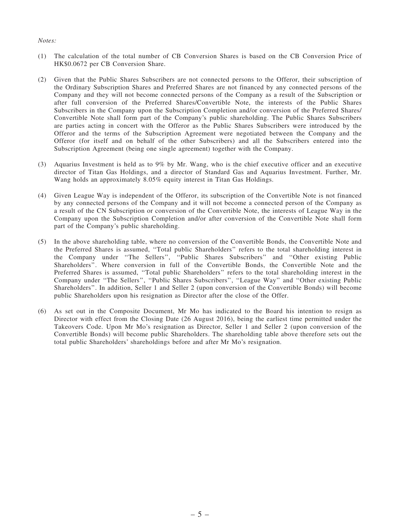#### *Notes:*

- (1) The calculation of the total number of CB Conversion Shares is based on the CB Conversion Price of HK\$0.0672 per CB Conversion Share.
- (2) Given that the Public Shares Subscribers are not connected persons to the Offeror, their subscription of the Ordinary Subscription Shares and Preferred Shares are not financed by any connected persons of the Company and they will not become connected persons of the Company as a result of the Subscription or after full conversion of the Preferred Shares/Convertible Note, the interests of the Public Shares Subscribers in the Company upon the Subscription Completion and/or conversion of the Preferred Shares/ Convertible Note shall form part of the Company's public shareholding. The Public Shares Subscribers are parties acting in concert with the Offeror as the Public Shares Subscribers were introduced by the Offeror and the terms of the Subscription Agreement were negotiated between the Company and the Offeror (for itself and on behalf of the other Subscribers) and all the Subscribers entered into the Subscription Agreement (being one single agreement) together with the Company.
- (3) Aquarius Investment is held as to 9% by Mr. Wang, who is the chief executive officer and an executive director of Titan Gas Holdings, and a director of Standard Gas and Aquarius Investment. Further, Mr. Wang holds an approximately 8.05% equity interest in Titan Gas Holdings.
- (4) Given League Way is independent of the Offeror, its subscription of the Convertible Note is not financed by any connected persons of the Company and it will not become a connected person of the Company as a result of the CN Subscription or conversion of the Convertible Note, the interests of League Way in the Company upon the Subscription Completion and/or after conversion of the Convertible Note shall form part of the Company's public shareholding.
- (5) In the above shareholding table, where no conversion of the Convertible Bonds, the Convertible Note and the Preferred Shares is assumed, ''Total public Shareholders'' refers to the total shareholding interest in the Company under ''The Sellers'', ''Public Shares Subscribers'' and ''Other existing Public Shareholders''. Where conversion in full of the Convertible Bonds, the Convertible Note and the Preferred Shares is assumed, ''Total public Shareholders'' refers to the total shareholding interest in the Company under ''The Sellers'', ''Public Shares Subscribers'', ''League Way'' and ''Other existing Public Shareholders''. In addition, Seller 1 and Seller 2 (upon conversion of the Convertible Bonds) will become public Shareholders upon his resignation as Director after the close of the Offer.
- (6) As set out in the Composite Document, Mr Mo has indicated to the Board his intention to resign as Director with effect from the Closing Date (26 August 2016), being the earliest time permitted under the Takeovers Code. Upon Mr Mo's resignation as Director, Seller 1 and Seller 2 (upon conversion of the Convertible Bonds) will become public Shareholders. The shareholding table above therefore sets out the total public Shareholders' shareholdings before and after Mr Mo's resignation.